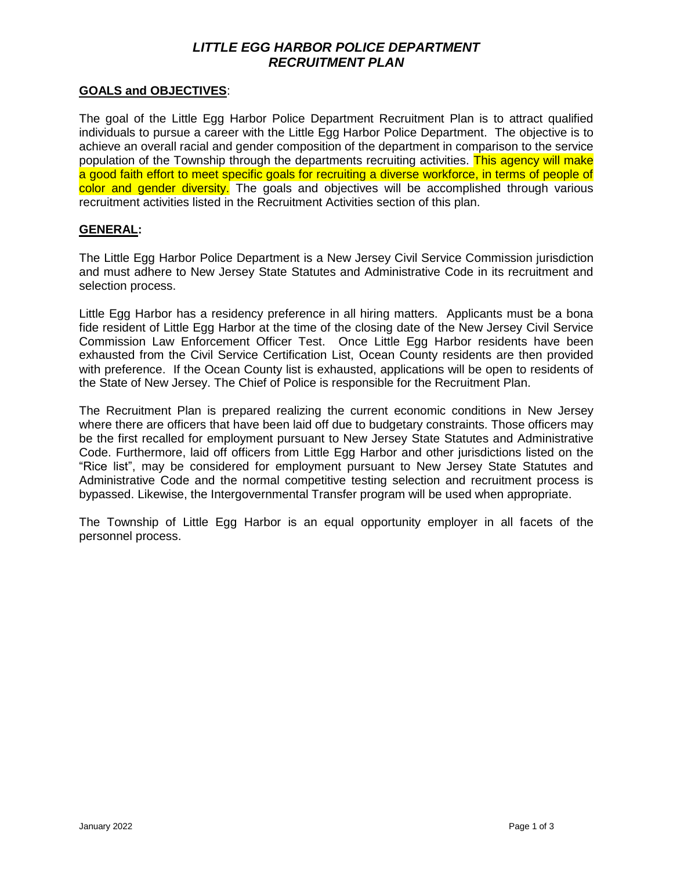## *LITTLE EGG HARBOR POLICE DEPARTMENT RECRUITMENT PLAN*

#### **GOALS and OBJECTIVES**:

The goal of the Little Egg Harbor Police Department Recruitment Plan is to attract qualified individuals to pursue a career with the Little Egg Harbor Police Department. The objective is to achieve an overall racial and gender composition of the department in comparison to the service population of the Township through the departments recruiting activities. This agency will make a good faith effort to meet specific goals for recruiting a diverse workforce, in terms of people of color and gender diversity. The goals and objectives will be accomplished through various recruitment activities listed in the Recruitment Activities section of this plan.

#### **GENERAL:**

The Little Egg Harbor Police Department is a New Jersey Civil Service Commission jurisdiction and must adhere to New Jersey State Statutes and Administrative Code in its recruitment and selection process.

Little Egg Harbor has a residency preference in all hiring matters. Applicants must be a bona fide resident of Little Egg Harbor at the time of the closing date of the New Jersey Civil Service Commission Law Enforcement Officer Test. Once Little Egg Harbor residents have been exhausted from the Civil Service Certification List, Ocean County residents are then provided with preference. If the Ocean County list is exhausted, applications will be open to residents of the State of New Jersey. The Chief of Police is responsible for the Recruitment Plan.

The Recruitment Plan is prepared realizing the current economic conditions in New Jersey where there are officers that have been laid off due to budgetary constraints. Those officers may be the first recalled for employment pursuant to New Jersey State Statutes and Administrative Code. Furthermore, laid off officers from Little Egg Harbor and other jurisdictions listed on the "Rice list", may be considered for employment pursuant to New Jersey State Statutes and Administrative Code and the normal competitive testing selection and recruitment process is bypassed. Likewise, the Intergovernmental Transfer program will be used when appropriate.

The Township of Little Egg Harbor is an equal opportunity employer in all facets of the personnel process.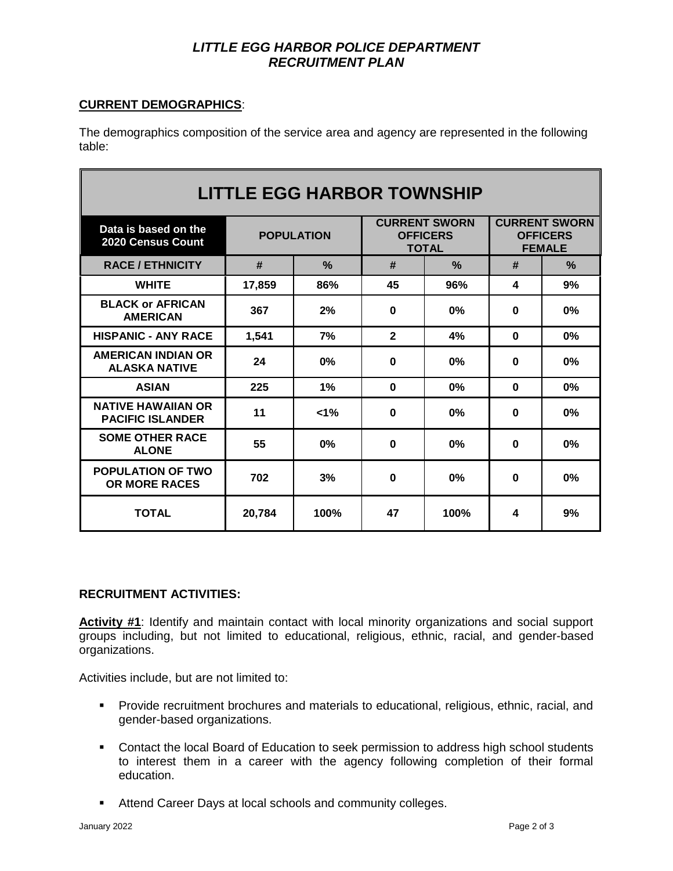## *LITTLE EGG HARBOR POLICE DEPARTMENT RECRUITMENT PLAN*

### **CURRENT DEMOGRAPHICS**:

The demographics composition of the service area and agency are represented in the following table:

| <b>LITTLE EGG HARBOR TOWNSHIP</b>                    |                   |               |                                                         |               |                                                          |               |
|------------------------------------------------------|-------------------|---------------|---------------------------------------------------------|---------------|----------------------------------------------------------|---------------|
| Data is based on the<br>2020 Census Count            | <b>POPULATION</b> |               | <b>CURRENT SWORN</b><br><b>OFFICERS</b><br><b>TOTAL</b> |               | <b>CURRENT SWORN</b><br><b>OFFICERS</b><br><b>FEMALE</b> |               |
| <b>RACE / ETHNICITY</b>                              | #                 | $\frac{0}{2}$ | #                                                       | $\frac{9}{6}$ | #                                                        | $\frac{0}{2}$ |
| <b>WHITE</b>                                         | 17.859            | 86%           | 45                                                      | 96%           | 4                                                        | 9%            |
| <b>BLACK or AFRICAN</b><br><b>AMERICAN</b>           | 367               | 2%            | $\bf{0}$                                                | 0%            | 0                                                        | 0%            |
| <b>HISPANIC - ANY RACE</b>                           | 1,541             | 7%            | $\mathbf{2}$                                            | 4%            | $\bf{0}$                                                 | 0%            |
| <b>AMERICAN INDIAN OR</b><br><b>ALASKA NATIVE</b>    | 24                | 0%            | 0                                                       | 0%            | $\Omega$                                                 | 0%            |
| <b>ASIAN</b>                                         | 225               | 1%            | $\bf{0}$                                                | 0%            | $\bf{0}$                                                 | 0%            |
| <b>NATIVE HAWAIIAN OR</b><br><b>PACIFIC ISLANDER</b> | 11                | $1\%$         | $\bf{0}$                                                | 0%            | $\bf{0}$                                                 | 0%            |
| <b>SOME OTHER RACE</b><br><b>ALONE</b>               | 55                | 0%            | 0                                                       | 0%            | 0                                                        | 0%            |
| <b>POPULATION OF TWO</b><br><b>OR MORE RACES</b>     | 702               | 3%            | 0                                                       | 0%            | 0                                                        | 0%            |
| <b>TOTAL</b>                                         | 20.784            | 100%          | 47                                                      | 100%          | 4                                                        | 9%            |

### **RECRUITMENT ACTIVITIES:**

**Activity #1**: Identify and maintain contact with local minority organizations and social support groups including, but not limited to educational, religious, ethnic, racial, and gender-based organizations.

Activities include, but are not limited to:

- **Provide recruitment brochures and materials to educational, religious, ethnic, racial, and** gender-based organizations.
- **Contact the local Board of Education to seek permission to address high school students** to interest them in a career with the agency following completion of their formal education.
- **Attend Career Days at local schools and community colleges.**